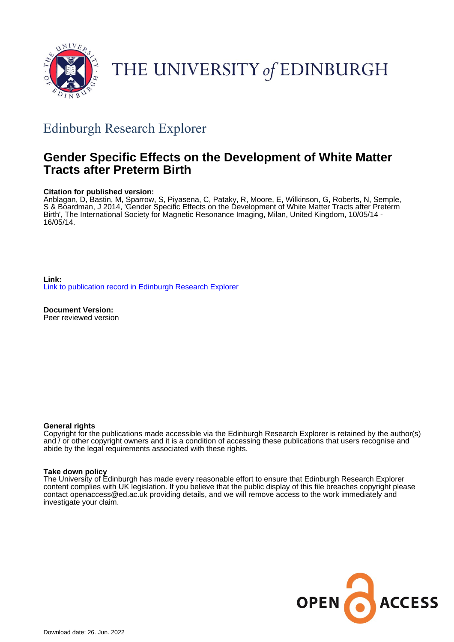

# THE UNIVERSITY of EDINBURGH

## Edinburgh Research Explorer

### **Gender Specific Effects on the Development of White Matter Tracts after Preterm Birth**

#### **Citation for published version:**

Anblagan, D, Bastin, M, Sparrow, S, Piyasena, C, Pataky, R, Moore, E, Wilkinson, G, Roberts, N, Semple, S & Boardman, J 2014, 'Gender Specific Effects on the Development of White Matter Tracts after Preterm Birth', The International Society for Magnetic Resonance Imaging, Milan, United Kingdom, 10/05/14 - 16/05/14.

**Link:** [Link to publication record in Edinburgh Research Explorer](https://www.research.ed.ac.uk/en/publications/66d27195-8447-4143-aa10-aa1064cab8a1)

**Document Version:** Peer reviewed version

#### **General rights**

Copyright for the publications made accessible via the Edinburgh Research Explorer is retained by the author(s) and / or other copyright owners and it is a condition of accessing these publications that users recognise and abide by the legal requirements associated with these rights.

#### **Take down policy**

The University of Edinburgh has made every reasonable effort to ensure that Edinburgh Research Explorer content complies with UK legislation. If you believe that the public display of this file breaches copyright please contact openaccess@ed.ac.uk providing details, and we will remove access to the work immediately and investigate your claim.